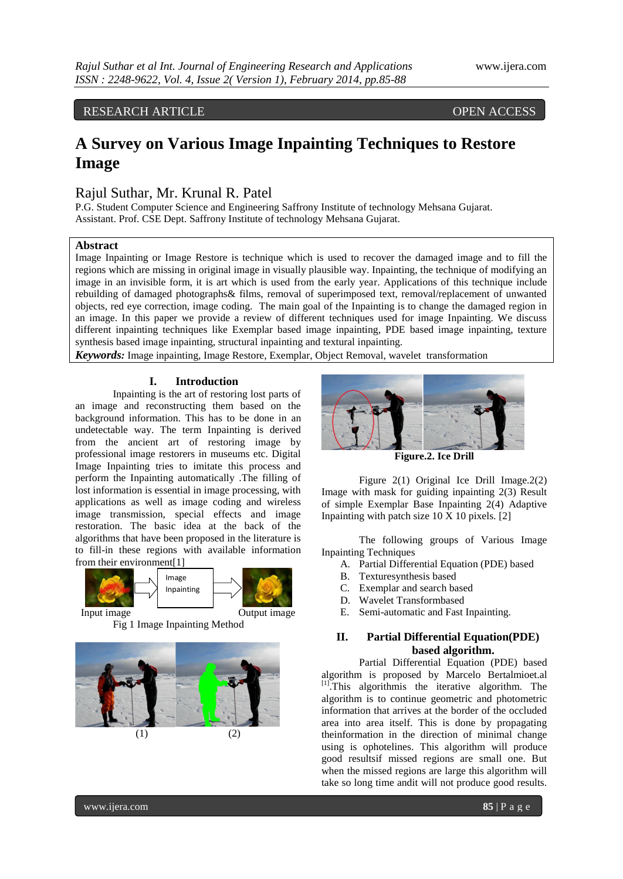# RESEARCH ARTICLE **OPEN ACCESS**

# **A Survey on Various Image Inpainting Techniques to Restore Image**

# Rajul Suthar, Mr. Krunal R. Patel

P.G. Student Computer Science and Engineering Saffrony Institute of technology Mehsana Gujarat. Assistant. Prof. CSE Dept. Saffrony Institute of technology Mehsana Gujarat.

# **Abstract**

Image Inpainting or Image Restore is technique which is used to recover the damaged image and to fill the regions which are missing in original image in visually plausible way. Inpainting, the technique of modifying an image in an invisible form, it is art which is used from the early year. Applications of this technique include rebuilding of damaged photographs& films, removal of superimposed text, removal/replacement of unwanted objects, red eye correction, image coding. The main goal of the Inpainting is to change the damaged region in an image. In this paper we provide a review of different techniques used for image Inpainting. We discuss different inpainting techniques like Exemplar based image inpainting, PDE based image inpainting, texture synthesis based image inpainting, structural inpainting and textural inpainting.

*Keywords:* Image inpainting, Image Restore, Exemplar, Object Removal, wavelet transformation

### **I. Introduction**

Inpainting is the art of restoring lost parts of an image and reconstructing them based on the background information. This has to be done in an undetectable way. The term Inpainting is derived from the ancient art of restoring image by professional image restorers in museums etc. Digital Image Inpainting tries to imitate this process and perform the Inpainting automatically .The filling of lost information is essential in image processing, with applications as well as image coding and wireless image transmission, special effects and image restoration. The basic idea at the back of the algorithms that have been proposed in the literature is to fill-in these regions with available information from their environment[1]



Fig 1 Image Inpainting Method





**Figure.2. Ice Drill**

Figure 2(1) Original Ice Drill Image.2(2) Image with mask for guiding inpainting 2(3) Result of simple Exemplar Base Inpainting 2(4) Adaptive Inpainting with patch size  $10 \text{ X } 10$  pixels. [2]

The following groups of Various Image Inpainting Techniques

- A. Partial Differential Equation (PDE) based
- B. Texturesynthesis based
- C. Exemplar and search based
- D. Wavelet Transformbased
- E. Semi-automatic and Fast Inpainting.

# **II. Partial Differential Equation(PDE) based algorithm.**

Partial Differential Equation (PDE) based algorithm is proposed by Marcelo Bertalmioet.al [1]. This algorithmis the iterative algorithm. The algorithm is to continue geometric and photometric information that arrives at the border of the occluded area into area itself. This is done by propagating theinformation in the direction of minimal change using is ophotelines. This algorithm will produce good resultsif missed regions are small one. But when the missed regions are large this algorithm will take so long time andit will not produce good results.

www.ijera.com **85** | P a g e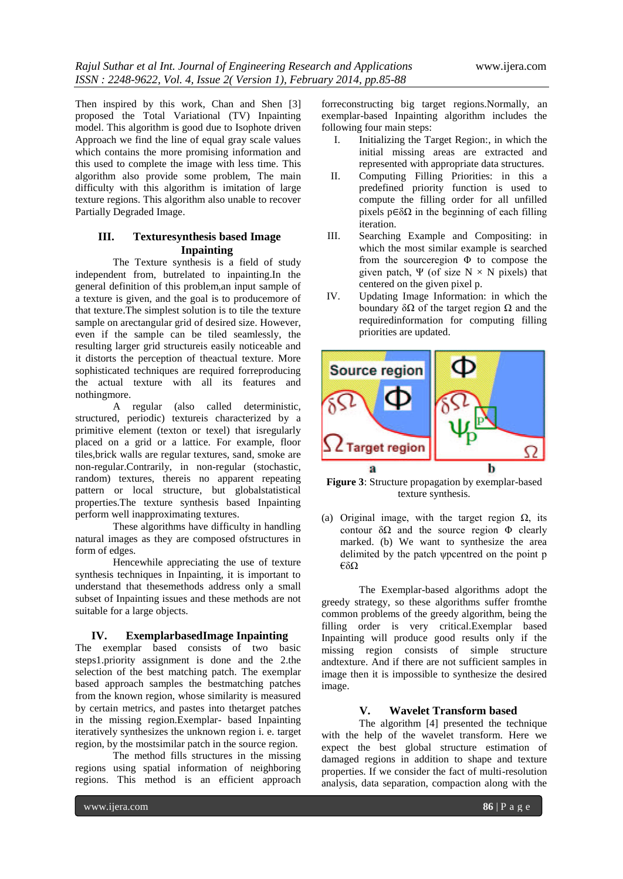Then inspired by this work, Chan and Shen [3] proposed the Total Variational (TV) Inpainting model. This algorithm is good due to Isophote driven Approach we find the line of equal gray scale values which contains the more promising information and this used to complete the image with less time. This algorithm also provide some problem, The main difficulty with this algorithm is imitation of large texture regions. This algorithm also unable to recover Partially Degraded Image.

# **III. Texturesynthesis based Image Inpainting**

The Texture synthesis is a field of study independent from, butrelated to inpainting.In the general definition of this problem,an input sample of a texture is given, and the goal is to producemore of that texture.The simplest solution is to tile the texture sample on arectangular grid of desired size. However, even if the sample can be tiled seamlessly, the resulting larger grid structureis easily noticeable and it distorts the perception of theactual texture. More sophisticated techniques are required forreproducing the actual texture with all its features and nothingmore.

A regular (also called deterministic, structured, periodic) textureis characterized by a primitive element (texton or texel) that isregularly placed on a grid or a lattice. For example, floor tiles,brick walls are regular textures, sand, smoke are non-regular.Contrarily, in non-regular (stochastic, random) textures, thereis no apparent repeating pattern or local structure, but globalstatistical properties.The texture synthesis based Inpainting perform well inapproximating textures.

These algorithms have difficulty in handling natural images as they are composed ofstructures in form of edges.

Hencewhile appreciating the use of texture synthesis techniques in Inpainting, it is important to understand that thesemethods address only a small subset of Inpainting issues and these methods are not suitable for a large objects.

#### **IV. ExemplarbasedImage Inpainting**

The exemplar based consists of two basic steps1.priority assignment is done and the 2.the selection of the best matching patch. The exemplar based approach samples the bestmatching patches from the known region, whose similarity is measured by certain metrics, and pastes into thetarget patches in the missing region.Exemplar- based Inpainting iteratively synthesizes the unknown region i. e. target region, by the mostsimilar patch in the source region.

The method fills structures in the missing regions using spatial information of neighboring regions. This method is an efficient approach

forreconstructing big target regions.Normally, an exemplar-based Inpainting algorithm includes the following four main steps:

- I. Initializing the Target Region:, in which the initial missing areas are extracted and represented with appropriate data structures.
- II. Computing Filling Priorities: in this a predefined priority function is used to compute the filling order for all unfilled pixels  $p \in \delta\Omega$  in the beginning of each filling iteration.
- III. Searching Example and Compositing: in which the most similar example is searched from the sourceregion  $\Phi$  to compose the given patch, Ψ (of size  $N \times N$  pixels) that centered on the given pixel p.
- IV. Updating Image Information: in which the boundary  $\delta\Omega$  of the target region  $\Omega$  and the requiredinformation for computing filling priorities are updated.



**Figure 3**: Structure propagation by exemplar-based texture synthesis.

(a) Original image, with the target region  $\Omega$ , its contour  $\delta\Omega$  and the source region  $\Phi$  clearly marked. (b) We want to synthesize the area delimited by the patch ψpcentred on the point p €δΩ

The Exemplar-based algorithms adopt the greedy strategy, so these algorithms suffer fromthe common problems of the greedy algorithm, being the filling order is very critical.Exemplar based Inpainting will produce good results only if the missing region consists of simple structure andtexture. And if there are not sufficient samples in image then it is impossible to synthesize the desired image.

## **V. Wavelet Transform based**

The algorithm [4] presented the technique with the help of the wavelet transform. Here we expect the best global structure estimation of damaged regions in addition to shape and texture properties. If we consider the fact of multi-resolution analysis, data separation, compaction along with the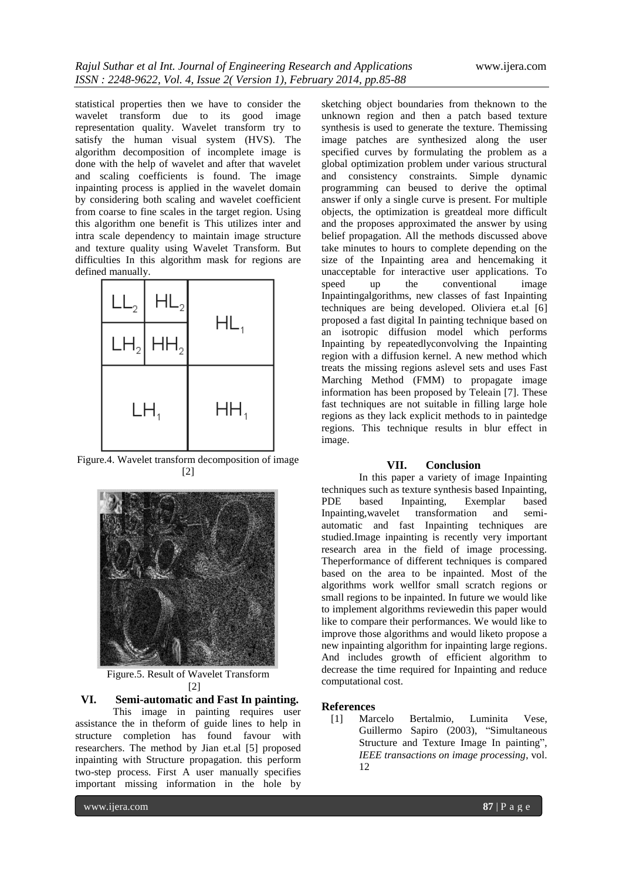statistical properties then we have to consider the wavelet transform due to its good image representation quality. Wavelet transform try to satisfy the human visual system (HVS). The algorithm decomposition of incomplete image is done with the help of wavelet and after that wavelet and scaling coefficients is found. The image inpainting process is applied in the wavelet domain by considering both scaling and wavelet coefficient from coarse to fine scales in the target region. Using this algorithm one benefit is This utilizes inter and intra scale dependency to maintain image structure and texture quality using Wavelet Transform. But difficulties In this algorithm mask for regions are defined manually.



Figure.4. Wavelet transform decomposition of image [2]



Figure.5. Result of Wavelet Transform [2]

**VI. Semi-automatic and Fast In painting.**

This image in painting requires user assistance the in theform of guide lines to help in structure completion has found favour with researchers. The method by Jian et.al [5] proposed inpainting with Structure propagation. this perform two-step process. First A user manually specifies important missing information in the hole by

www.ijera.com **87** | P a g e

sketching object boundaries from theknown to the unknown region and then a patch based texture synthesis is used to generate the texture. Themissing image patches are synthesized along the user specified curves by formulating the problem as a global optimization problem under various structural and consistency constraints. Simple dynamic programming can beused to derive the optimal answer if only a single curve is present. For multiple objects, the optimization is greatdeal more difficult and the proposes approximated the answer by using belief propagation. All the methods discussed above take minutes to hours to complete depending on the size of the Inpainting area and hencemaking it unacceptable for interactive user applications. To speed up the conventional image Inpaintingalgorithms, new classes of fast Inpainting techniques are being developed. Oliviera et.al [6] proposed a fast digital In painting technique based on an isotropic diffusion model which performs Inpainting by repeatedlyconvolving the Inpainting region with a diffusion kernel. A new method which treats the missing regions aslevel sets and uses Fast Marching Method (FMM) to propagate image information has been proposed by Teleain [7]. These fast techniques are not suitable in filling large hole regions as they lack explicit methods to in paintedge regions. This technique results in blur effect in image.

#### **VII. Conclusion**

In this paper a variety of image Inpainting techniques such as texture synthesis based Inpainting, PDE based Inpainting, Exemplar based Inpainting,wavelet transformation and semiautomatic and fast Inpainting techniques are studied.Image inpainting is recently very important research area in the field of image processing. Theperformance of different techniques is compared based on the area to be inpainted. Most of the algorithms work wellfor small scratch regions or small regions to be inpainted. In future we would like to implement algorithms reviewedin this paper would like to compare their performances. We would like to improve those algorithms and would liketo propose a new inpainting algorithm for inpainting large regions. And includes growth of efficient algorithm to decrease the time required for Inpainting and reduce computational cost.

#### **References**

[1] Marcelo Bertalmio, Luminita Vese, Guillermo Sapiro (2003), "Simultaneous Structure and Texture Image In painting", *IEEE transactions on image processing*, vol. 12